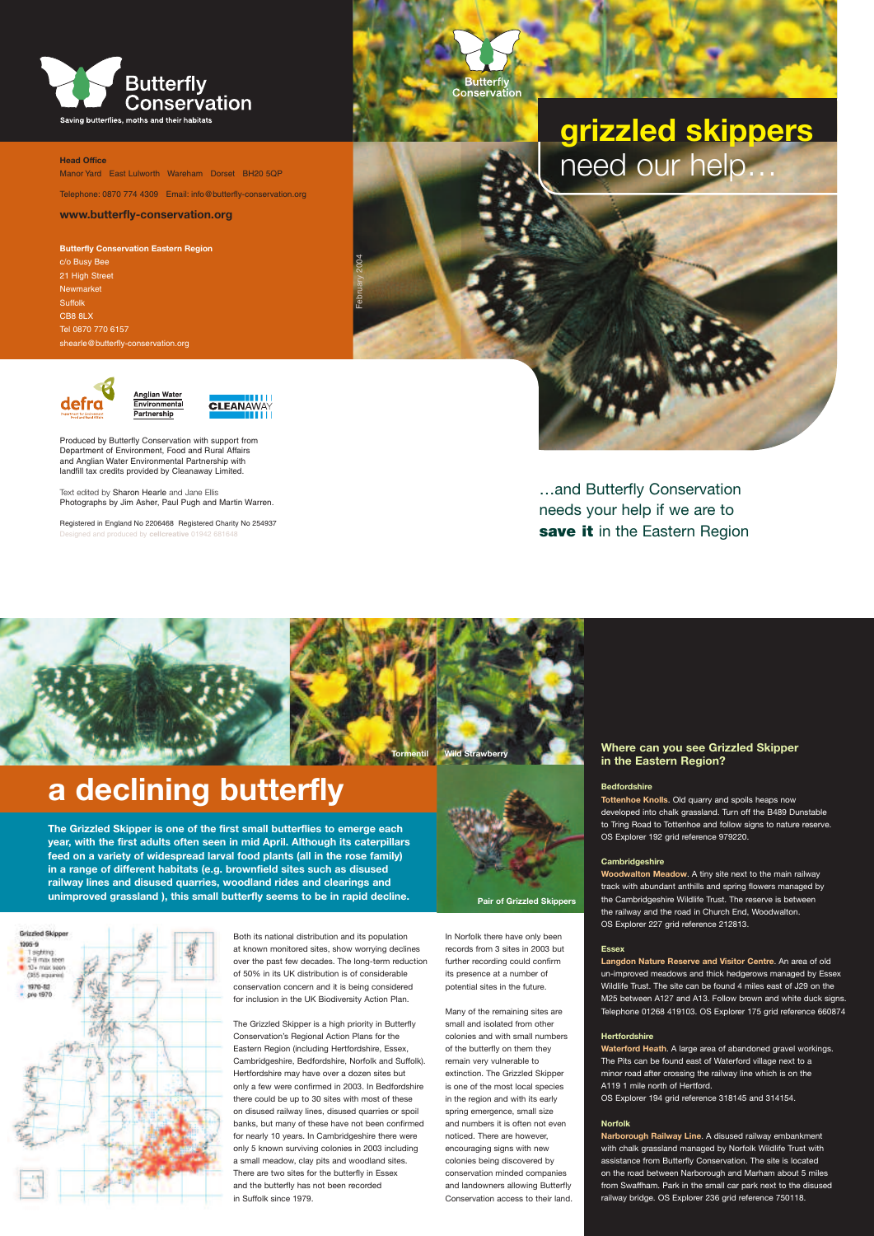## **a declining butterfly**

**The Grizzled Skipper is one of the first small butterflies to emerge each year, with the first adults often seen in mid April. Although its caterpillars feed on a variety of widespread larval food plants (all in the rose family) in a range of different habitats (e.g. brownfield sites such as disused railway lines and disused quarries, woodland rides and clearings and unimproved grassland ), this small butterfly seems to be in rapid decline.**

#### **Where can you see Grizzled Skipper in the Eastern Region?**

#### **Bedfordshire**

**Tottenhoe Knolls**. Old quarry and spoils heaps now developed into chalk grassland. Turn off the B489 Dunstable to Tring Road to Tottenhoe and follow signs to nature reserve. OS Explorer 192 grid reference 979220.

#### **Cambridgeshire**

**Woodwalton Meadow**. A tiny site next to the main railway track with abundant anthills and spring flowers managed by the Cambridgeshire Wildlife Trust. The reserve is between the railway and the road in Church End, Woodwalton. OS Explorer 227 grid reference 212813.



#### **Essex**

**Langdon Nature Reserve and Visitor Centre**. An area of old un-improved meadows and thick hedgerows managed by Essex Wildlife Trust. The site can be found 4 miles east of J29 on the M25 between A127 and A13. Follow brown and white duck signs. Telephone 01268 419103. OS Explorer 175 grid reference 660874

Registered in England No 2206468 Registered Charity No 254937 ned and produced by **cellcreative** 01942 68164

### …and Butterfly Conservation needs your help if we are to **save it in the Eastern Region**

#### **Hertfordshire**

**Waterford Heath**. A large area of abandoned gravel workings. The Pits can be found east of Waterford village next to a minor road after crossing the railway line which is on the A119 1 mile north of Hertford. OS Explorer 194 grid reference 318145 and 314154.

#### **Norfolk**

**Narborough Railway Line**. A disused railway embankment with chalk grassland managed by Norfolk Wildlife Trust with assistance from Butterfly Conservation. The site is located on the road between Narborough and Marham about 5 miles from Swaffham. Park in the small car park next to the disused railway bridge. OS Explorer 236 grid reference 750118.



**Head Office** Manor Yard East Lulworth Wareham Dorset BH20 5QP

Telephone: 0870 774 4309 Email: info@butterfly-conservation.org

#### **www.butterfly-conservation.org**

**Butterfly Conservation Eastern Region** c/o Busy Bee 21 High Street Newmarket **Suffolk** CB8 8LX Tel 0870 770 6157 shearle@butterfly-conservation.org





Produced by Butterfly Conservation with support from Department of Environment, Food and Rural Affairs and Anglian Water Environmental Partnership with landfill tax credits provided by Cleanaway Limited.

nglian Water **ivironmenta** 

Partnership

Text edited by Sharon Hearle and Jane Ellis Photographs by Jim Asher, Paul Pugh and Martin Warren.

# **grizzled skippers** need our help…

February 2004

Butterfly<br>Conservation

In Norfolk there have only been records from 3 sites in 2003 but further recording could confirm its presence at a number of potential sites in the future.

Many of the remaining sites are small and isolated from other colonies and with small numbers of the butterfly on them they remain very vulnerable to extinction. The Grizzled Skipper is one of the most local species in the region and with its early spring emergence, small size and numbers it is often not even noticed. There are however, encouraging signs with new colonies being discovered by conservation minded companies and landowners allowing Butterfly Conservation access to their land.

Both its national distribution and its population at known monitored sites, show worrying declines over the past few decades. The long-term reduction of 50% in its UK distribution is of considerable conservation concern and it is being considered for inclusion in the UK Biodiversity Action Plan.

The Grizzled Skipper is a high priority in Butterfly Conservation's Regional Action Plans for the Eastern Region (including Hertfordshire, Essex, Cambridgeshire, Bedfordshire, Norfolk and Suffolk). Hertfordshire may have over a dozen sites but only a few were confirmed in 2003. In Bedfordshire there could be up to 30 sites with most of these on disused railway lines, disused quarries or spoil banks, but many of these have not been confirmed for nearly 10 years. In Cambridgeshire there were only 5 known surviving colonies in 2003 including a small meadow, clay pits and woodland sites. There are two sites for the butterfly in Essex and the butterfly has not been recorded in Suffolk since 1979.